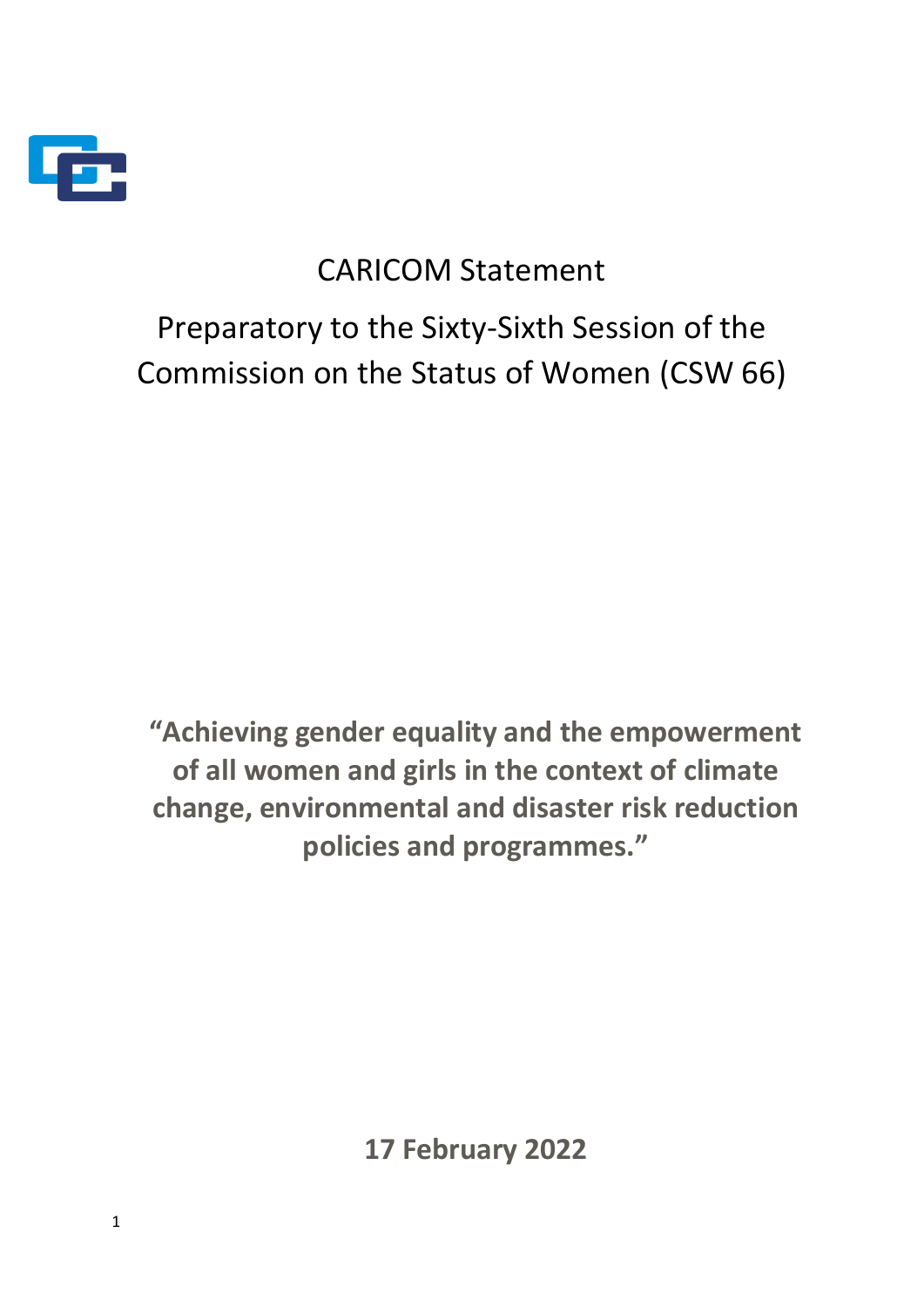

# CARICOM Statement

Preparatory to the Sixty-Sixth Session of the Commission on the Status of Women (CSW 66)

**"Achieving gender equality and the empowerment of all women and girls in the context of climate change, environmental and disaster risk reduction policies and programmes."**

**17 February 2022**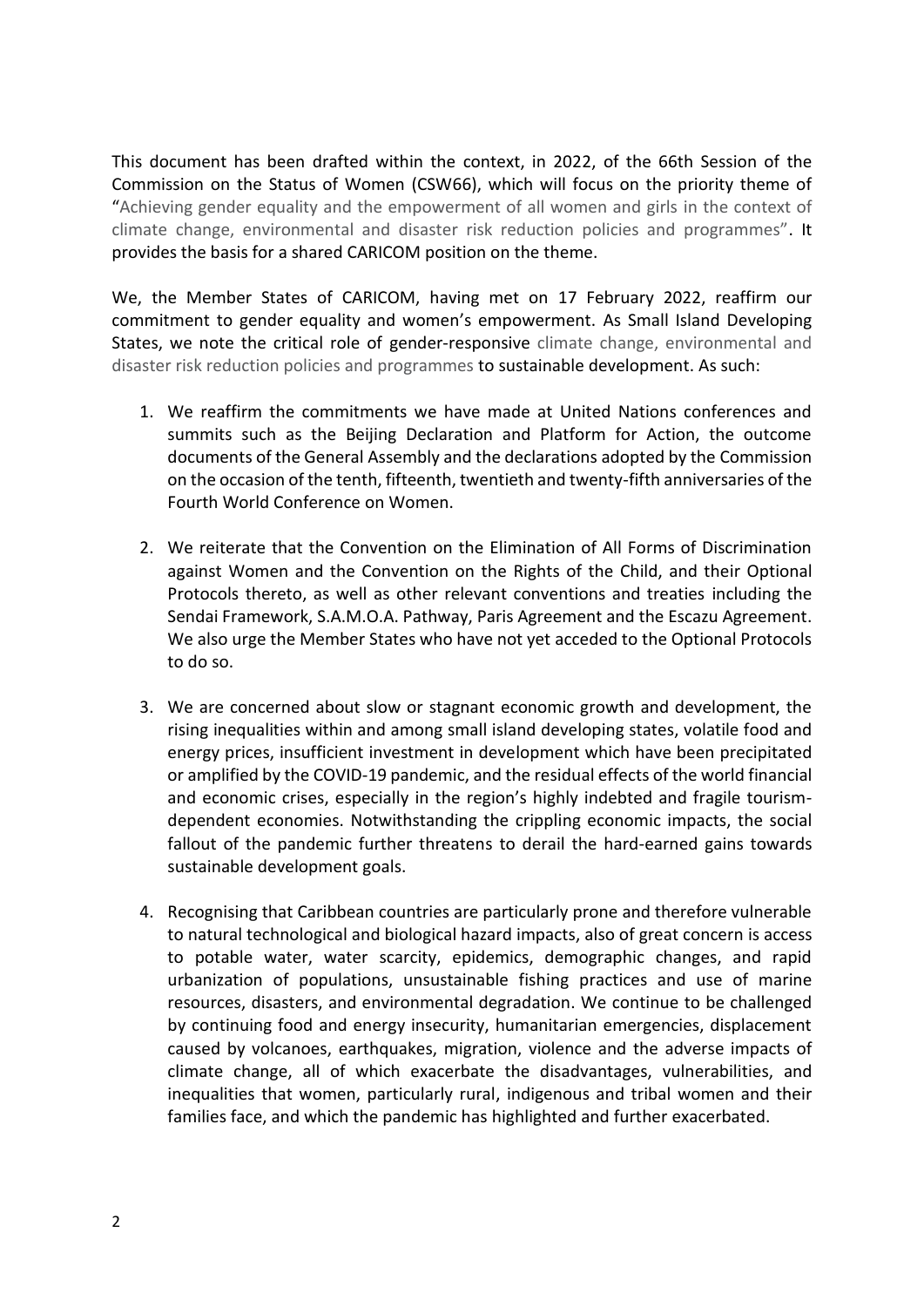This document has been drafted within the context, in 2022, of the 66th Session of the Commission on the Status of Women (CSW66), which will focus on the priority theme of "Achieving gender equality and the empowerment of all women and girls in the context of climate change, environmental and disaster risk reduction policies and programmes". It provides the basis for a shared CARICOM position on the theme.

We, the Member States of CARICOM, having met on 17 February 2022, reaffirm our commitment to gender equality and women's empowerment. As Small Island Developing States, we note the critical role of gender-responsive climate change, environmental and disaster risk reduction policies and programmes to sustainable development. As such:

- 1. We reaffirm the commitments we have made at United Nations conferences and summits such as the Beijing Declaration and Platform for Action, the outcome documents of the General Assembly and the declarations adopted by the Commission on the occasion of the tenth, fifteenth, twentieth and twenty-fifth anniversaries of the Fourth World Conference on Women.
- 2. We reiterate that the Convention on the Elimination of All Forms of Discrimination against Women and the Convention on the Rights of the Child, and their Optional Protocols thereto, as well as other relevant conventions and treaties including the Sendai Framework, S.A.M.O.A. Pathway, Paris Agreement and the Escazu Agreement. We also urge the Member States who have not yet acceded to the Optional Protocols to do so.
- 3. We are concerned about slow or stagnant economic growth and development, the rising inequalities within and among small island developing states, volatile food and energy prices, insufficient investment in development which have been precipitated or amplified by the COVID-19 pandemic, and the residual effects of the world financial and economic crises, especially in the region's highly indebted and fragile tourismdependent economies. Notwithstanding the crippling economic impacts, the social fallout of the pandemic further threatens to derail the hard-earned gains towards sustainable development goals.
- 4. Recognising that Caribbean countries are particularly prone and therefore vulnerable to natural technological and biological hazard impacts, also of great concern is access to potable water, water scarcity, epidemics, demographic changes, and rapid urbanization of populations, unsustainable fishing practices and use of marine resources, disasters, and environmental degradation. We continue to be challenged by continuing food and energy insecurity, humanitarian emergencies, displacement caused by volcanoes, earthquakes, migration, violence and the adverse impacts of climate change, all of which exacerbate the disadvantages, vulnerabilities, and inequalities that women, particularly rural, indigenous and tribal women and their families face, and which the pandemic has highlighted and further exacerbated.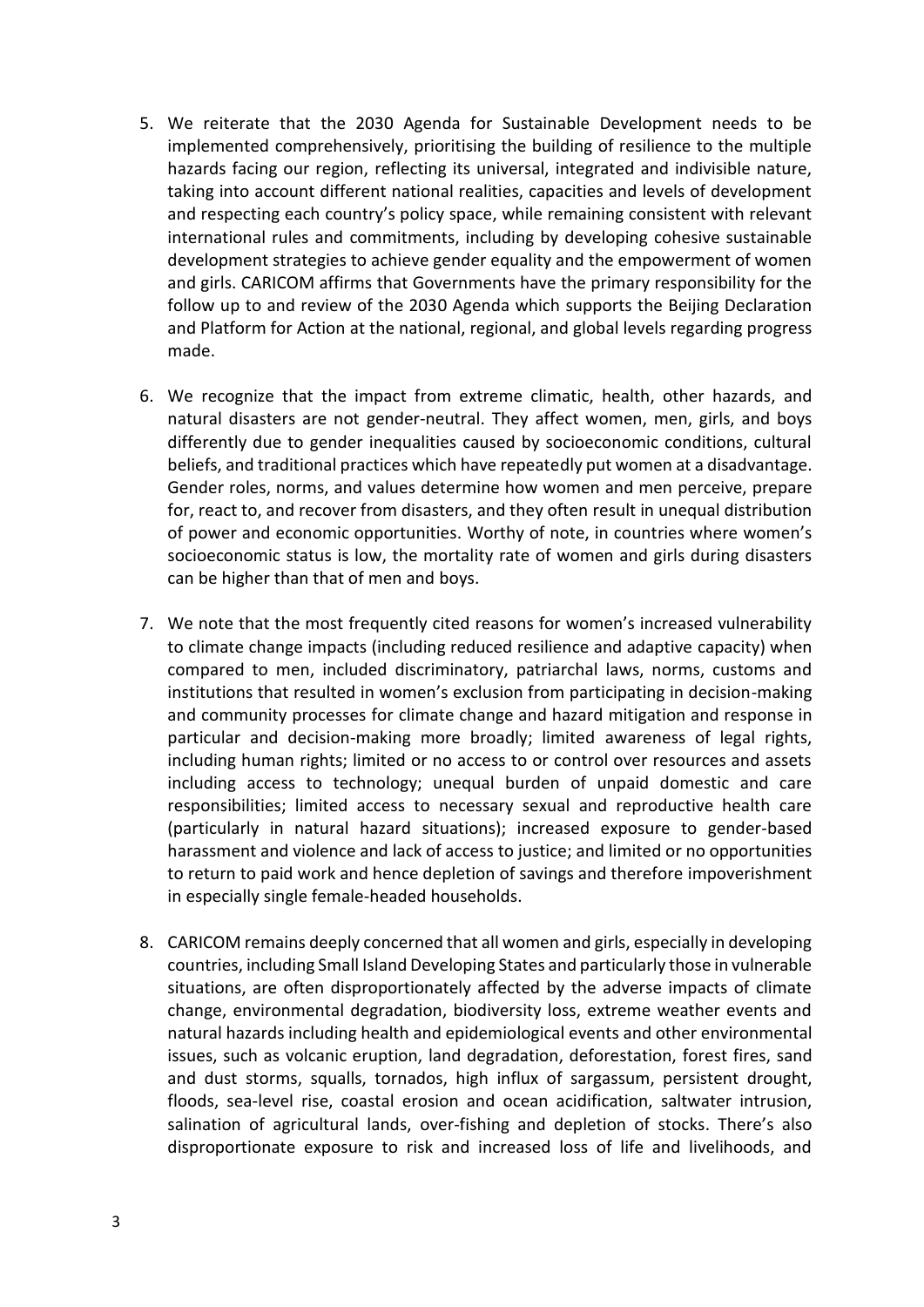- 5. We reiterate that the 2030 Agenda for Sustainable Development needs to be implemented comprehensively, prioritising the building of resilience to the multiple hazards facing our region, reflecting its universal, integrated and indivisible nature, taking into account different national realities, capacities and levels of development and respecting each country's policy space, while remaining consistent with relevant international rules and commitments, including by developing cohesive sustainable development strategies to achieve gender equality and the empowerment of women and girls. CARICOM affirms that Governments have the primary responsibility for the follow up to and review of the 2030 Agenda which supports the Beijing Declaration and Platform for Action at the national, regional, and global levels regarding progress made.
- 6. We recognize that the impact from extreme climatic, health, other hazards, and natural disasters are not gender-neutral. They affect women, men, girls, and boys differently due to gender inequalities caused by socioeconomic conditions, cultural beliefs, and traditional practices which have repeatedly put women at a disadvantage. Gender roles, norms, and values determine how women and men perceive, prepare for, react to, and recover from disasters, and they often result in unequal distribution of power and economic opportunities. Worthy of note, in countries where women's socioeconomic status is low, the mortality rate of women and girls during disasters can be higher than that of men and boys.
- 7. We note that the most frequently cited reasons for women's increased vulnerability to climate change impacts (including reduced resilience and adaptive capacity) when compared to men, included discriminatory, patriarchal laws, norms, customs and institutions that resulted in women's exclusion from participating in decision-making and community processes for climate change and hazard mitigation and response in particular and decision-making more broadly; limited awareness of legal rights, including human rights; limited or no access to or control over resources and assets including access to technology; unequal burden of unpaid domestic and care responsibilities; limited access to necessary sexual and reproductive health care (particularly in natural hazard situations); increased exposure to gender-based harassment and violence and lack of access to justice; and limited or no opportunities to return to paid work and hence depletion of savings and therefore impoverishment in especially single female-headed households.
- 8. CARICOM remains deeply concerned that all women and girls, especially in developing countries, including Small Island Developing States and particularly those in vulnerable situations, are often disproportionately affected by the adverse impacts of climate change, environmental degradation, biodiversity loss, extreme weather events and natural hazards including health and epidemiological events and other environmental issues, such as volcanic eruption, land degradation, deforestation, forest fires, sand and dust storms, squalls, tornados, high influx of sargassum, persistent drought, floods, sea-level rise, coastal erosion and ocean acidification, saltwater intrusion, salination of agricultural lands, over-fishing and depletion of stocks. There's also disproportionate exposure to risk and increased loss of life and livelihoods, and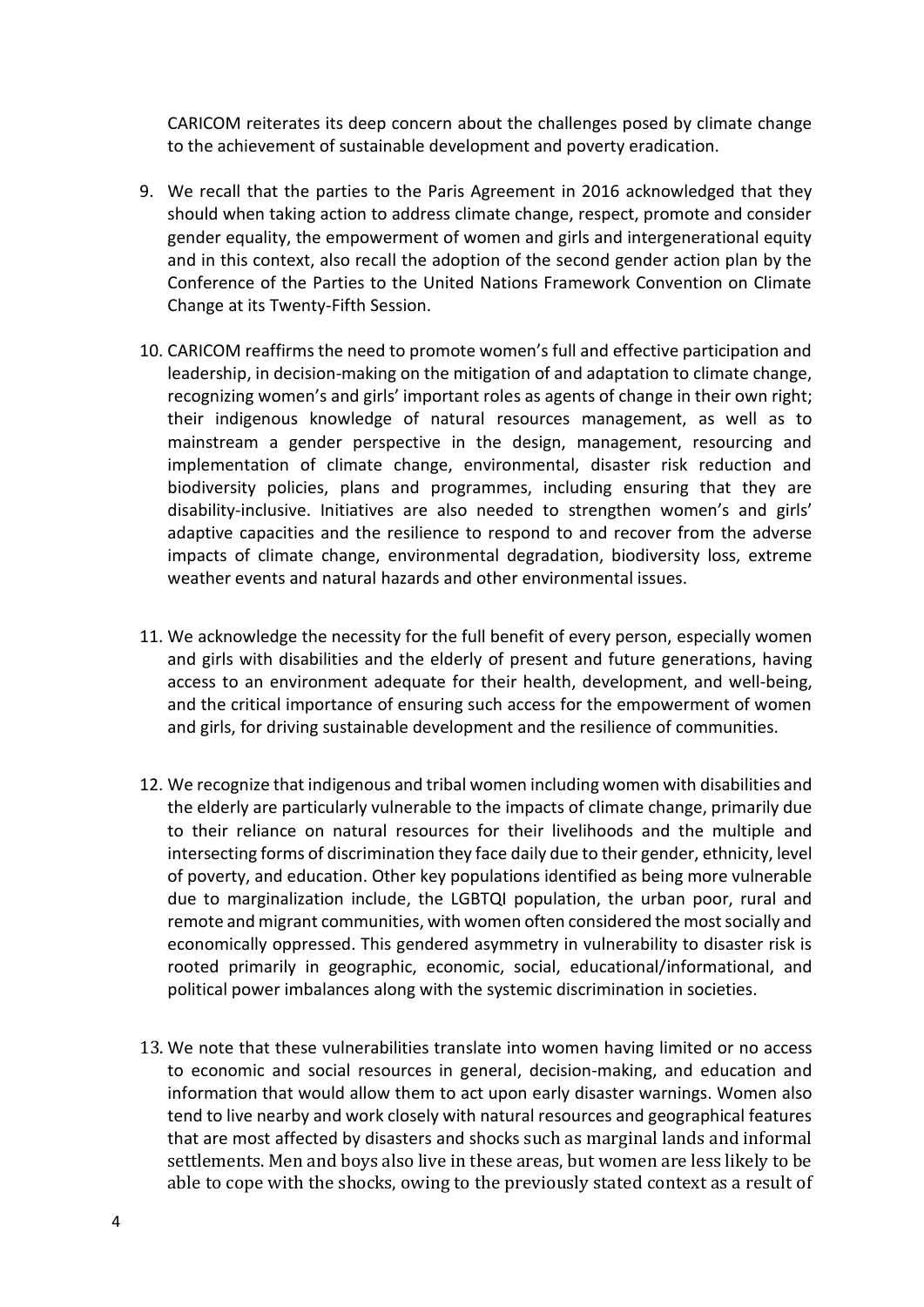CARICOM reiterates its deep concern about the challenges posed by climate change to the achievement of sustainable development and poverty eradication.

- 9. We recall that the parties to the Paris Agreement in 2016 acknowledged that they should when taking action to address climate change, respect, promote and consider gender equality, the empowerment of women and girls and intergenerational equity and in this context, also recall the adoption of the second gender action plan by the Conference of the Parties to the United Nations Framework Convention on Climate Change at its Twenty-Fifth Session.
- 10. CARICOM reaffirms the need to promote women's full and effective participation and leadership, in decision-making on the mitigation of and adaptation to climate change, recognizing women's and girls' important roles as agents of change in their own right; their indigenous knowledge of natural resources management, as well as to mainstream a gender perspective in the design, management, resourcing and implementation of climate change, environmental, disaster risk reduction and biodiversity policies, plans and programmes, including ensuring that they are disability-inclusive. Initiatives are also needed to strengthen women's and girls' adaptive capacities and the resilience to respond to and recover from the adverse impacts of climate change, environmental degradation, biodiversity loss, extreme weather events and natural hazards and other environmental issues.
- 11. We acknowledge the necessity for the full benefit of every person, especially women and girls with disabilities and the elderly of present and future generations, having access to an environment adequate for their health, development, and well-being, and the critical importance of ensuring such access for the empowerment of women and girls, for driving sustainable development and the resilience of communities.
- 12. We recognize that indigenous and tribal women including women with disabilities and the elderly are particularly vulnerable to the impacts of climate change, primarily due to their reliance on natural resources for their livelihoods and the multiple and intersecting forms of discrimination they face daily due to their gender, ethnicity, level of poverty, and education. Other key populations identified as being more vulnerable due to marginalization include, the LGBTQI population, the urban poor, rural and remote and migrant communities, with women often considered the most socially and economically oppressed. This gendered asymmetry in vulnerability to disaster risk is rooted primarily in geographic, economic, social, educational/informational, and political power imbalances along with the systemic discrimination in societies.
- 13. We note that these vulnerabilities translate into women having limited or no access to economic and social resources in general, decision-making, and education and information that would allow them to act upon early disaster warnings. Women also tend to live nearby and work closely with natural resources and geographical features that are most affected by disasters and shocks such as marginal lands and informal settlements. Men and boys also live in these areas, but women are less likely to be able to cope with the shocks, owing to the previously stated context as a result of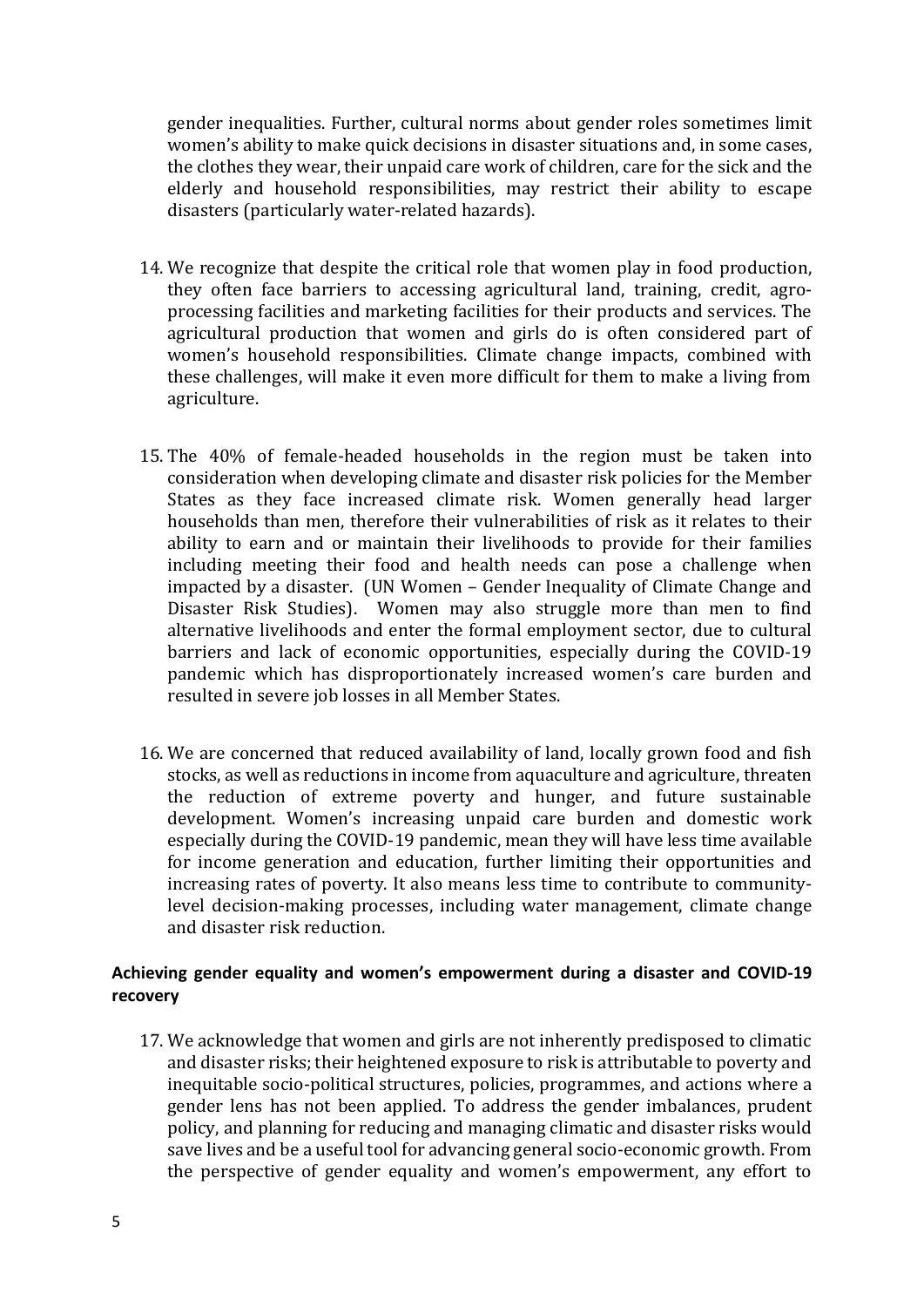gender inequalities. Further, cultural norms about gender roles sometimes limit women's ability to make quick decisions in disaster situations and, in some cases, the clothes they wear, their unpaid care work of children, care for the sick and the elderly and household responsibilities, may restrict their ability to escape disasters (particularly water-related hazards).

- 14. We recognize that despite the critical role that women play in food production, they often face barriers to accessing agricultural land, training, credit, agroprocessing facilities and marketing facilities for their products and services. The agricultural production that women and girls do is often considered part of women's household responsibilities. Climate change impacts, combined with these challenges, will make it even more difficult for them to make a living from agriculture.
- 15. The 40% of female-headed households in the region must be taken into consideration when developing climate and disaster risk policies for the Member States as they face increased climate risk. Women generally head larger households than men, therefore their vulnerabilities of risk as it relates to their ability to earn and or maintain their livelihoods to provide for their families including meeting their food and health needs can pose a challenge when impacted by a disaster. (UN Women – Gender Inequality of Climate Change and Disaster Risk Studies). Women may also struggle more than men to find alternative livelihoods and enter the formal employment sector, due to cultural barriers and lack of economic opportunities, especially during the COVID-19 pandemic which has disproportionately increased women's care burden and resulted in severe job losses in all Member States.
- 16. We are concerned that reduced availability of land, locally grown food and fish stocks, as well as reductions in income from aquaculture and agriculture, threaten the reduction of extreme poverty and hunger, and future sustainable development. Women's increasing unpaid care burden and domestic work especially during the COVID-19 pandemic, mean they will have less time available for income generation and education, further limiting their opportunities and increasing rates of poverty. It also means less time to contribute to communitylevel decision-making processes, including water management, climate change and disaster risk reduction.

## **Achieving gender equality and women's empowerment during a disaster and COVID-19 recovery**

17. We acknowledge that women and girls are not inherently predisposed to climatic and disaster risks; their heightened exposure to risk is attributable to poverty and inequitable socio-political structures, policies, programmes, and actions where a gender lens has not been applied. To address the gender imbalances, prudent policy, and planning for reducing and managing climatic and disaster risks would save lives and be a useful tool for advancing general socio-economic growth. From the perspective of gender equality and women's empowerment, any effort to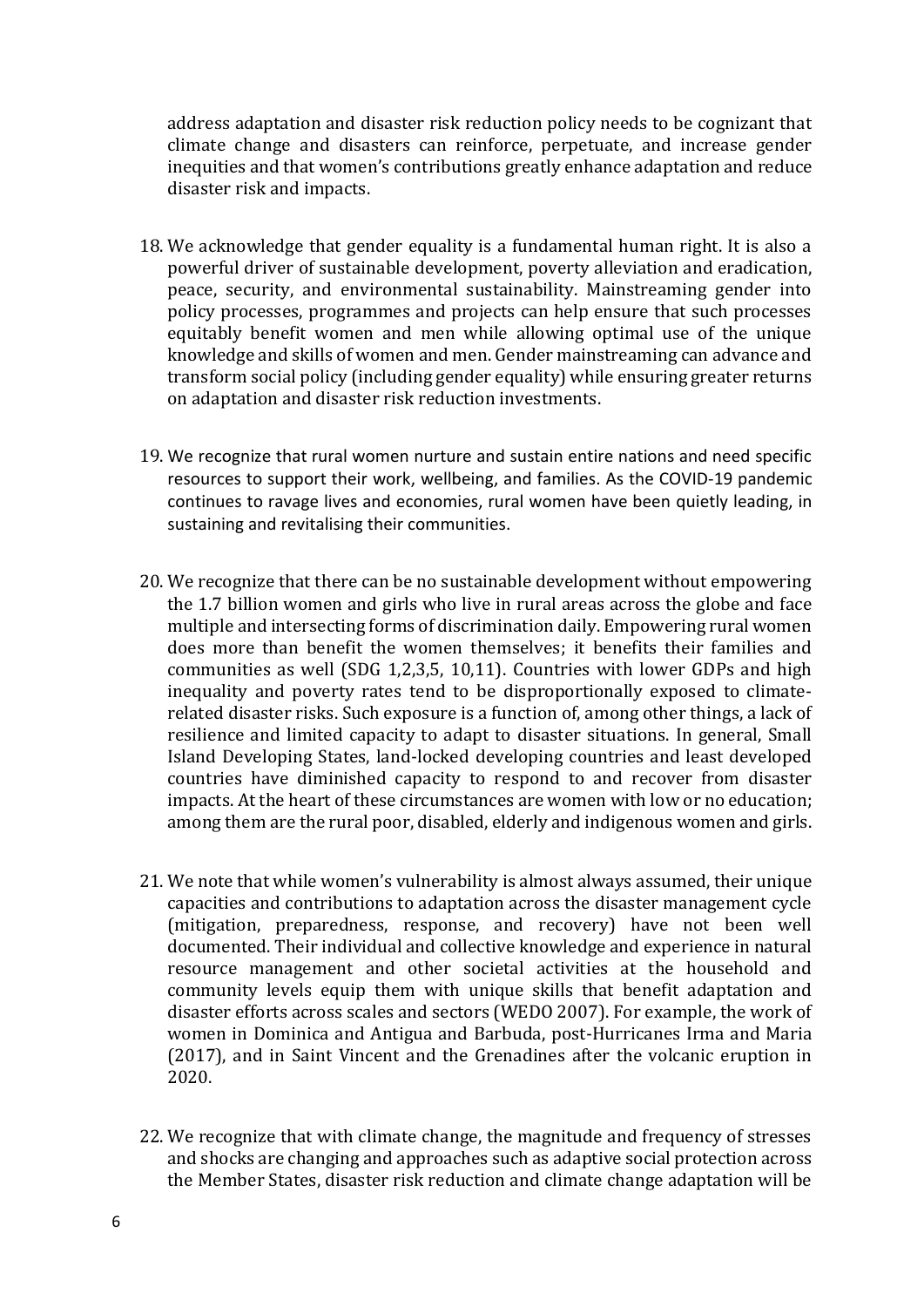address adaptation and disaster risk reduction policy needs to be cognizant that climate change and disasters can reinforce, perpetuate, and increase gender inequities and that women's contributions greatly enhance adaptation and reduce disaster risk and impacts.

- 18. We acknowledge that gender equality is a fundamental human right. It is also a powerful driver of sustainable development, poverty alleviation and eradication, peace, security, and environmental sustainability. Mainstreaming gender into policy processes, programmes and projects can help ensure that such processes equitably benefit women and men while allowing optimal use of the unique knowledge and skills of women and men. Gender mainstreaming can advance and transform social policy (including gender equality) while ensuring greater returns on adaptation and disaster risk reduction investments.
- 19. We recognize that rural women nurture and sustain entire nations and need specific resources to support their work, wellbeing, and families. As the COVID-19 pandemic continues to ravage lives and economies, rural women have been quietly leading, in sustaining and revitalising their communities.
- 20. We recognize that there can be no sustainable development without empowering the 1.7 billion women and girls who live in rural areas across the globe and face multiple and intersecting forms of discrimination daily. Empowering rural women does more than benefit the women themselves; it benefits their families and communities as well (SDG 1,2,3,5, 10,11). Countries with lower GDPs and high inequality and poverty rates tend to be disproportionally exposed to climaterelated disaster risks. Such exposure is a function of, among other things, a lack of resilience and limited capacity to adapt to disaster situations. In general, Small Island Developing States, land-locked developing countries and least developed countries have diminished capacity to respond to and recover from disaster impacts. At the heart of these circumstances are women with low or no education; among them are the rural poor, disabled, elderly and indigenous women and girls.
- 21. We note that while women's vulnerability is almost always assumed, their unique capacities and contributions to adaptation across the disaster management cycle (mitigation, preparedness, response, and recovery) have not been well documented. Their individual and collective knowledge and experience in natural resource management and other societal activities at the household and community levels equip them with unique skills that benefit adaptation and disaster efforts across scales and sectors (WEDO 2007). For example, the work of women in Dominica and Antigua and Barbuda, post-Hurricanes Irma and Maria (2017), and in Saint Vincent and the Grenadines after the volcanic eruption in 2020.
- 22. We recognize that with climate change, the magnitude and frequency of stresses and shocks are changing and approaches such as adaptive social protection across the Member States, disaster risk reduction and climate change adaptation will be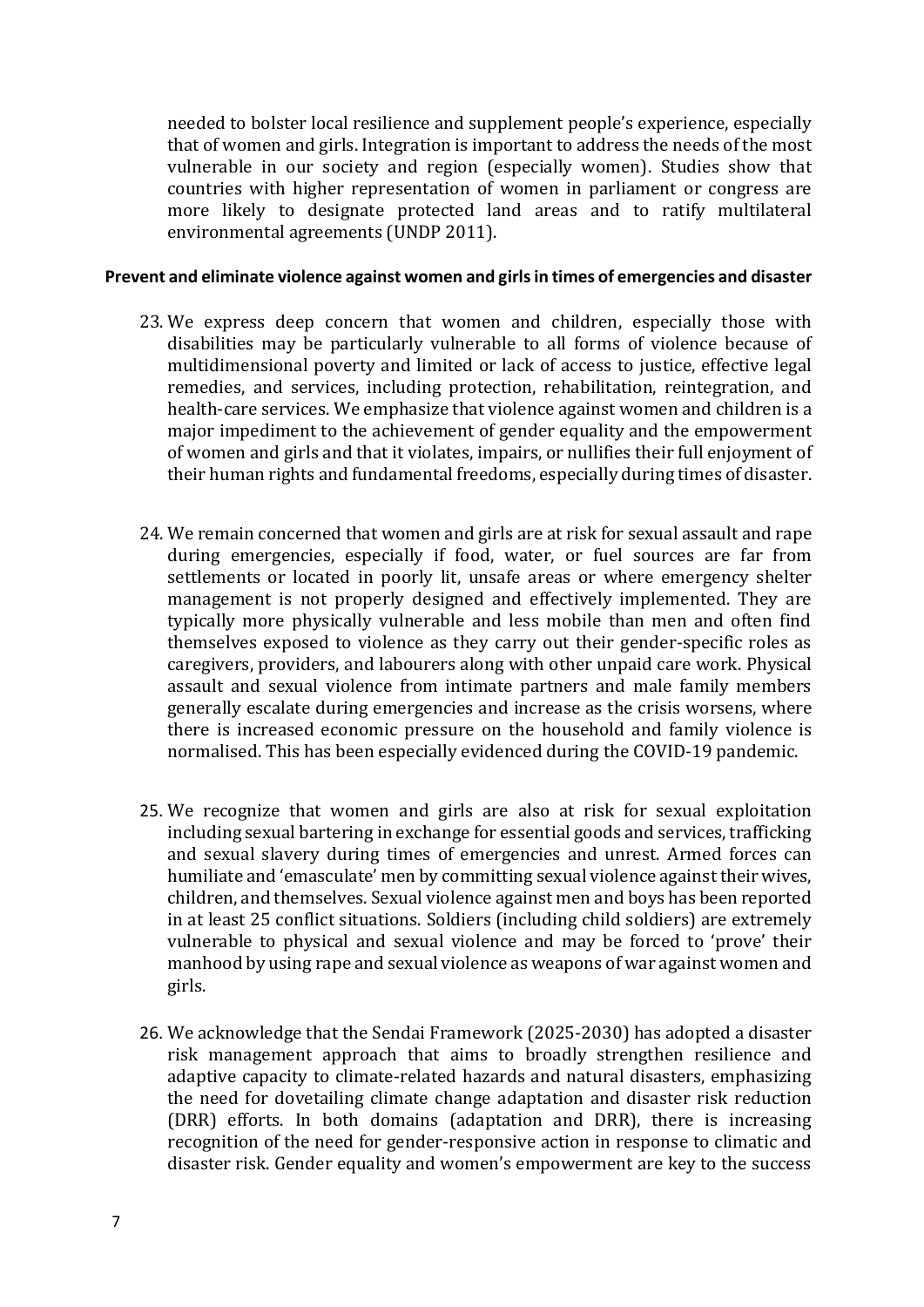needed to bolster local resilience and supplement people's experience, especially that of women and girls. Integration is important to address the needs of the most vulnerable in our society and region (especially women). Studies show that countries with higher representation of women in parliament or congress are more likely to designate protected land areas and to ratify multilateral environmental agreements (UNDP 2011).

#### **Prevent and eliminate violence against women and girls in times of emergencies and disaster**

- 23. We express deep concern that women and children, especially those with disabilities may be particularly vulnerable to all forms of violence because of multidimensional poverty and limited or lack of access to justice, effective legal remedies, and services, including protection, rehabilitation, reintegration, and health-care services. We emphasize that violence against women and children is a major impediment to the achievement of gender equality and the empowerment of women and girls and that it violates, impairs, or nullifies their full enjoyment of their human rights and fundamental freedoms, especially during times of disaster.
- 24. We remain concerned that women and girls are at risk for sexual assault and rape during emergencies, especially if food, water, or fuel sources are far from settlements or located in poorly lit, unsafe areas or where emergency shelter management is not properly designed and effectively implemented. They are typically more physically vulnerable and less mobile than men and often find themselves exposed to violence as they carry out their gender-specific roles as caregivers, providers, and labourers along with other unpaid care work. Physical assault and sexual violence from intimate partners and male family members generally escalate during emergencies and increase as the crisis worsens, where there is increased economic pressure on the household and family violence is normalised. This has been especially evidenced during the COVID-19 pandemic.
- 25. We recognize that women and girls are also at risk for sexual exploitation including sexual bartering in exchange for essential goods and services, trafficking and sexual slavery during times of emergencies and unrest. Armed forces can humiliate and 'emasculate' men by committing sexual violence against their wives, children, and themselves. Sexual violence against men and boys has been reported in at least 25 conflict situations. Soldiers (including child soldiers) are extremely vulnerable to physical and sexual violence and may be forced to 'prove' their manhood by using rape and sexual violence as weapons of war against women and girls.
- 26. We acknowledge that the Sendai Framework (2025-2030) has adopted a disaster risk management approach that aims to broadly strengthen resilience and adaptive capacity to climate-related hazards and natural disasters, emphasizing the need for dovetailing climate change adaptation and disaster risk reduction (DRR) efforts. In both domains (adaptation and DRR), there is increasing recognition of the need for gender-responsive action in response to climatic and disaster risk. Gender equality and women's empowerment are key to the success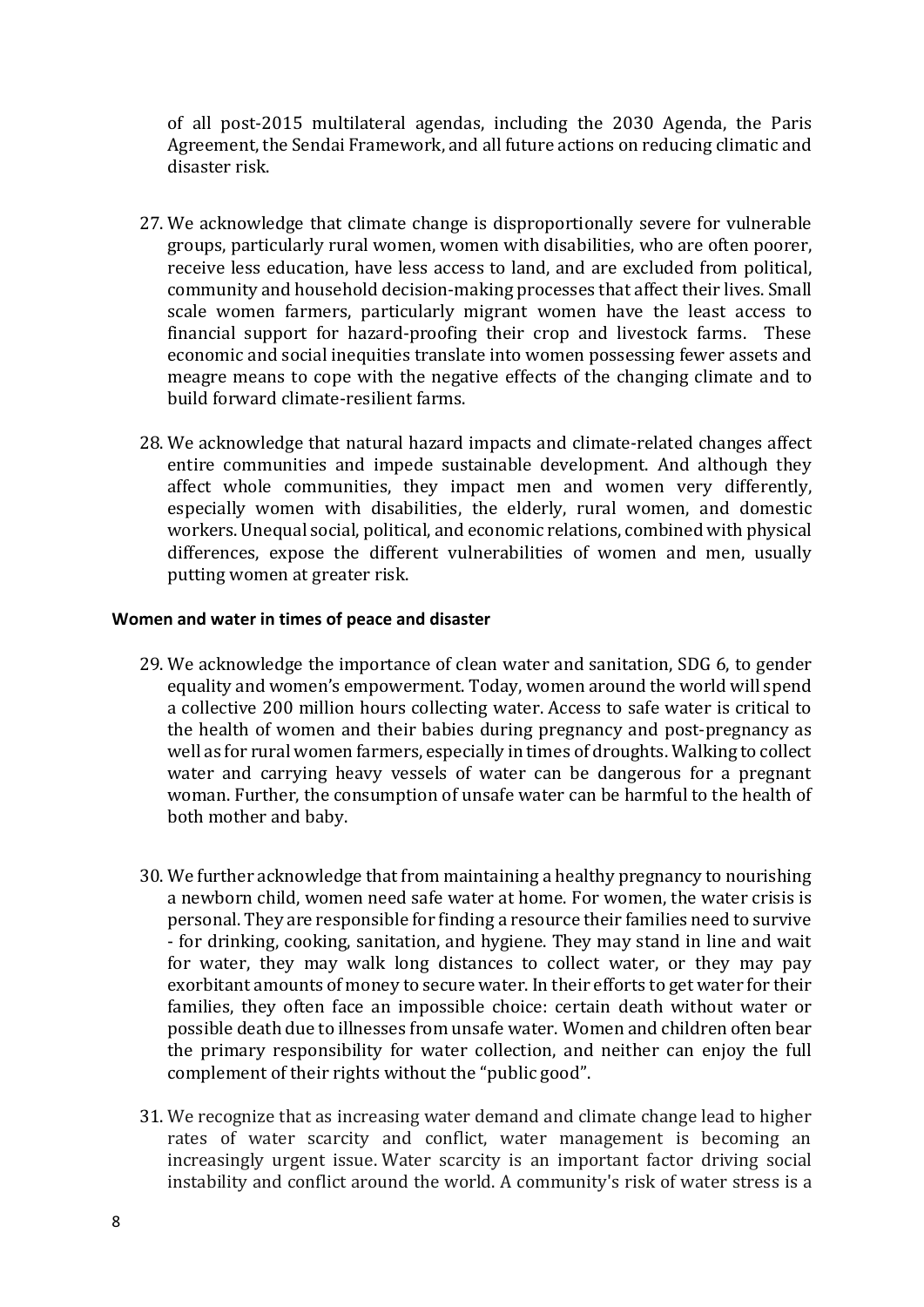of all post-2015 multilateral agendas, including the 2030 Agenda, the Paris Agreement, the Sendai Framework, and all future actions on reducing climatic and disaster risk.

- 27. We acknowledge that climate change is disproportionally severe for vulnerable groups, particularly rural women, women with disabilities, who are often poorer, receive less education, have less access to land, and are excluded from political, community and household decision-making processes that affect their lives. Small scale women farmers, particularly migrant women have the least access to financial support for hazard-proofing their crop and livestock farms. These economic and social inequities translate into women possessing fewer assets and meagre means to cope with the negative effects of the changing climate and to build forward climate-resilient farms.
- 28. We acknowledge that natural hazard impacts and climate-related changes affect entire communities and impede sustainable development. And although they affect whole communities, they impact men and women very differently, especially women with disabilities, the elderly, rural women, and domestic workers. Unequal social, political, and economic relations, combined with physical differences, expose the different vulnerabilities of women and men, usually putting women at greater risk.

## **Women and water in times of peace and disaster**

- 29. We acknowledge the importance of clean water and sanitation, SDG 6, to gender equality and women's empowerment. Today, women around the world will spend a collective 200 million hours collecting water. Access to safe water is critical to the health of women and their babies during pregnancy and post-pregnancy as well as for rural women farmers, especially in times of droughts. Walking to collect water and carrying heavy vessels of water can be dangerous for a pregnant woman. Further, the consumption of unsafe water can be harmful to the health of both mother and baby.
- 30. We further acknowledge that from maintaining a healthy pregnancy to nourishing a newborn child, women need safe water at home. For women, the water crisis is personal. They are responsible for finding a resource their families need to survive - for drinking, cooking, sanitation, and hygiene. They may stand in line and wait for water, they may walk long distances to collect water, or they may pay exorbitant amounts of money to secure water. In their efforts to get water for their families, they often face an impossible choice: certain death without water or possible death due to illnesses from unsafe water. Women and children often bear the primary responsibility for water collection, and neither can enjoy the full complement of their rights without the "public good".
- 31. We recognize that as increasing water demand and climate change lead to higher rates of water scarcity and conflict, water management is becoming an increasingly urgent issue. Water scarcity is an important factor driving social instability and conflict around the world. A community's risk of water stress is a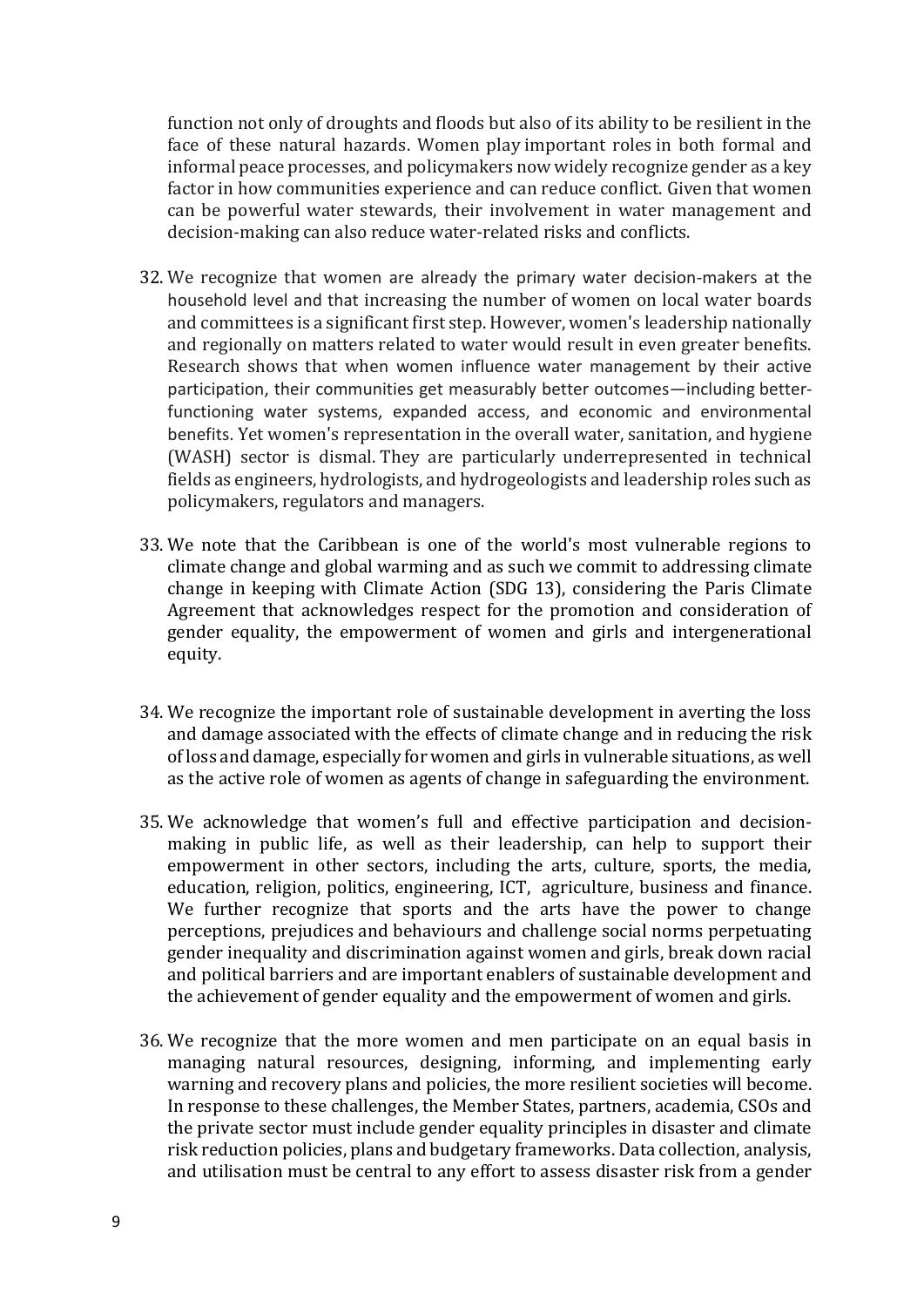function not only of droughts and floods but also of its ability to be resilient in the face of these natural hazards. Women play important roles in both formal and informal peace processes, and policymakers now widely recognize gender as a key factor in how communities experience and can reduce conflict. Given that women can be powerful water stewards, their involvement in water management and decision-making can also reduce water-related risks and conflicts.

- 32. We recognize that women are already the primary water decision-makers at the household level and that increasing the number of women on local water boards and committees is a significant first step. However, women's leadership nationally and regionally on matters related to water would result in even greater benefits. Research shows that when women influence water management by their active participation, their communities get measurably better outcomes—including betterfunctioning water systems, expanded access, and economic and environmental benefits. Yet women's representation in the overall water, sanitation, and hygiene (WASH) sector is dismal. They are particularly underrepresented in technical fields as engineers, hydrologists, and hydrogeologists and leadership roles such as policymakers, regulators and managers.
- 33. We note that the Caribbean is one of the world's most vulnerable regions to climate change and global warming and as such we commit to addressing climate change in keeping with Climate Action (SDG 13), considering the Paris Climate Agreement that acknowledges respect for the promotion and consideration of gender equality, the empowerment of women and girls and intergenerational equity.
- 34. We recognize the important role of sustainable development in averting the loss and damage associated with the effects of climate change and in reducing the risk of loss and damage, especially for women and girls in vulnerable situations, as well as the active role of women as agents of change in safeguarding the environment.
- 35. We acknowledge that women's full and effective participation and decisionmaking in public life, as well as their leadership, can help to support their empowerment in other sectors, including the arts, culture, sports, the media, education, religion, politics, engineering, ICT, agriculture, business and finance. We further recognize that sports and the arts have the power to change perceptions, prejudices and behaviours and challenge social norms perpetuating gender inequality and discrimination against women and girls, break down racial and political barriers and are important enablers of sustainable development and the achievement of gender equality and the empowerment of women and girls.
- 36. We recognize that the more women and men participate on an equal basis in managing natural resources, designing, informing, and implementing early warning and recovery plans and policies, the more resilient societies will become. In response to these challenges, the Member States, partners, academia, CSOs and the private sector must include gender equality principles in disaster and climate risk reduction policies, plans and budgetary frameworks. Data collection, analysis, and utilisation must be central to any effort to assess disaster risk from a gender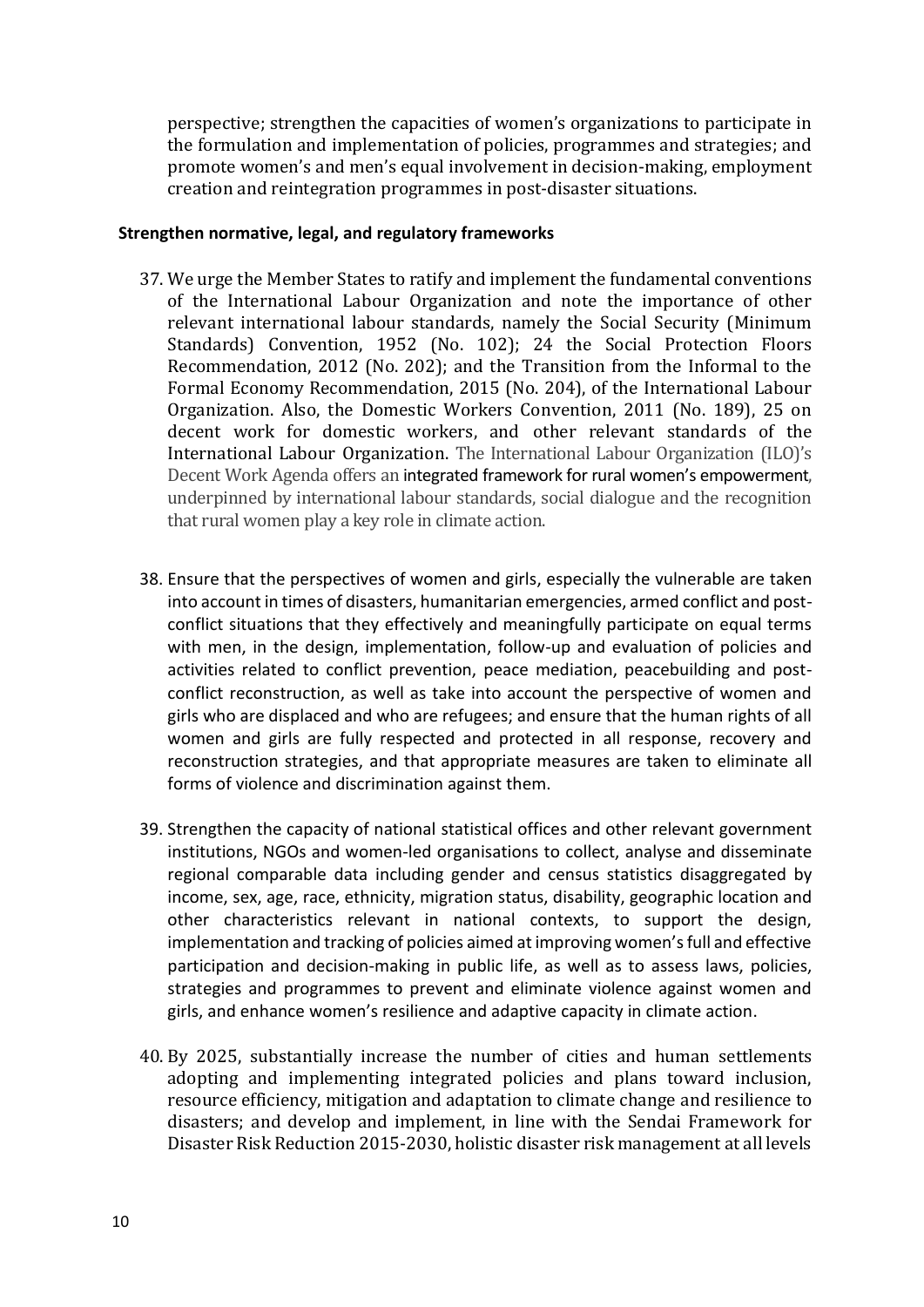perspective; strengthen the capacities of women's organizations to participate in the formulation and implementation of policies, programmes and strategies; and promote women's and men's equal involvement in decision-making, employment creation and reintegration programmes in post-disaster situations.

## **Strengthen normative, legal, and regulatory frameworks**

- 37. We urge the Member States to ratify and implement the fundamental conventions of the International Labour Organization and note the importance of other relevant international labour standards, namely the Social Security (Minimum Standards) Convention, 1952 (No. 102); 24 the Social Protection Floors Recommendation, 2012 (No. 202); and the Transition from the Informal to the Formal Economy Recommendation, 2015 (No. 204), of the International Labour Organization. Also, the Domestic Workers Convention, 2011 (No. 189), 25 on decent work for domestic workers, and other relevant standards of the International Labour Organization. The International Labour Organization (ILO)'s Decent Work Agenda offers an integrated framew[ork for rural women's empowerment](https://www.ilo.org/wcmsp5/groups/public/---ed_dialogue/---sector/documents/publication/wcms_601071.pdf), underpinned by international labour standards, social dialogue and the recognition that rural women play a key role in climate action.
- 38. Ensure that the perspectives of women and girls, especially the vulnerable are taken into account in times of disasters, humanitarian emergencies, armed conflict and postconflict situations that they effectively and meaningfully participate on equal terms with men, in the design, implementation, follow-up and evaluation of policies and activities related to conflict prevention, peace mediation, peacebuilding and postconflict reconstruction, as well as take into account the perspective of women and girls who are displaced and who are refugees; and ensure that the human rights of all women and girls are fully respected and protected in all response, recovery and reconstruction strategies, and that appropriate measures are taken to eliminate all forms of violence and discrimination against them.
- 39. Strengthen the capacity of national statistical offices and other relevant government institutions, NGOs and women-led organisations to collect, analyse and disseminate regional comparable data including gender and census statistics disaggregated by income, sex, age, race, ethnicity, migration status, disability, geographic location and other characteristics relevant in national contexts, to support the design, implementation and tracking of policies aimed at improving women's full and effective participation and decision-making in public life, as well as to assess laws, policies, strategies and programmes to prevent and eliminate violence against women and girls, and enhance women's resilience and adaptive capacity in climate action.
- 40. By 2025, substantially increase the number of cities and human settlements adopting and implementing integrated policies and plans toward inclusion, resource efficiency, mitigation and adaptation to climate change and resilience to disasters; and develop and implement, in line with the Sendai Framework for Disaster Risk Reduction 2015-2030, holistic disaster risk management at all levels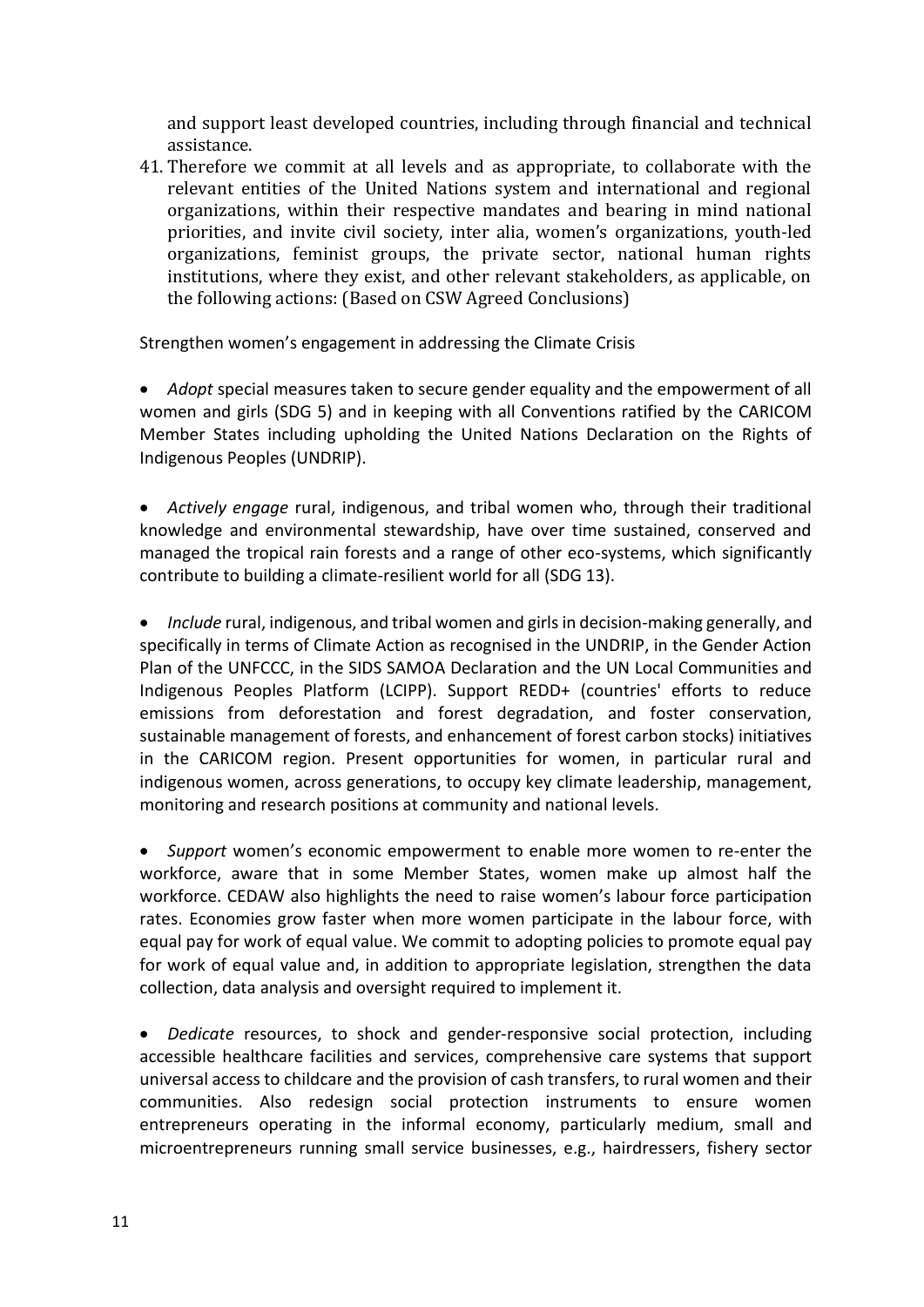and support least developed countries, including through financial and technical assistance.

41. Therefore we commit at all levels and as appropriate, to collaborate with the relevant entities of the United Nations system and international and regional organizations, within their respective mandates and bearing in mind national priorities, and invite civil society, inter alia, women's organizations, youth-led organizations, feminist groups, the private sector, national human rights institutions, where they exist, and other relevant stakeholders, as applicable, on the following actions: (Based on CSW Agreed Conclusions)

Strengthen women's engagement in addressing the Climate Crisis

• *Adopt* special measures taken to secure gender equality and the empowerment of all women and girls (SDG 5) and in keeping with all Conventions ratified by the CARICOM Member States including upholding the United Nations Declaration on the Rights of Indigenous Peoples (UNDRIP).

• *Actively engage* rural, indigenous, and tribal women who, through their traditional knowledge and environmental stewardship, have over time sustained, conserved and managed the tropical rain forests and a range of other eco-systems, which significantly contribute to building a climate-resilient world for all (SDG 13).

• *Include* rural, indigenous, and tribal women and girls in decision-making generally, and specifically in terms of Climate Action as recognised in the UNDRIP, in the Gender Action Plan of the UNFCCC, in the SIDS SAMOA Declaration and the UN Local Communities and Indigenous Peoples Platform (LCIPP). Support REDD+ (countries' efforts to reduce emissions from deforestation and forest degradation, and foster conservation, sustainable management of forests, and enhancement of forest carbon stocks) initiatives in the CARICOM region. Present opportunities for women, in particular rural and indigenous women, across generations, to occupy key climate leadership, management, monitoring and research positions at community and national levels.

• *Support* women's economic empowerment to enable more women to re-enter the workforce, aware that in some Member States, women make up almost half the workforce. CEDAW also highlights the need to raise women's labour force participation rates. Economies grow faster when more women participate in the labour force, with equal pay for work of equal value. We commit to adopting policies to promote equal pay for work of equal value and, in addition to appropriate legislation, strengthen the data collection, data analysis and oversight required to implement it.

• *Dedicate* resources, to shock and gender-responsive social protection, including accessible healthcare facilities and services, comprehensive care systems that support universal access to childcare and the provision of cash transfers, to rural women and their communities. Also redesign social protection instruments to ensure women entrepreneurs operating in the informal economy, particularly medium, small and microentrepreneurs running small service businesses, e.g., hairdressers, fishery sector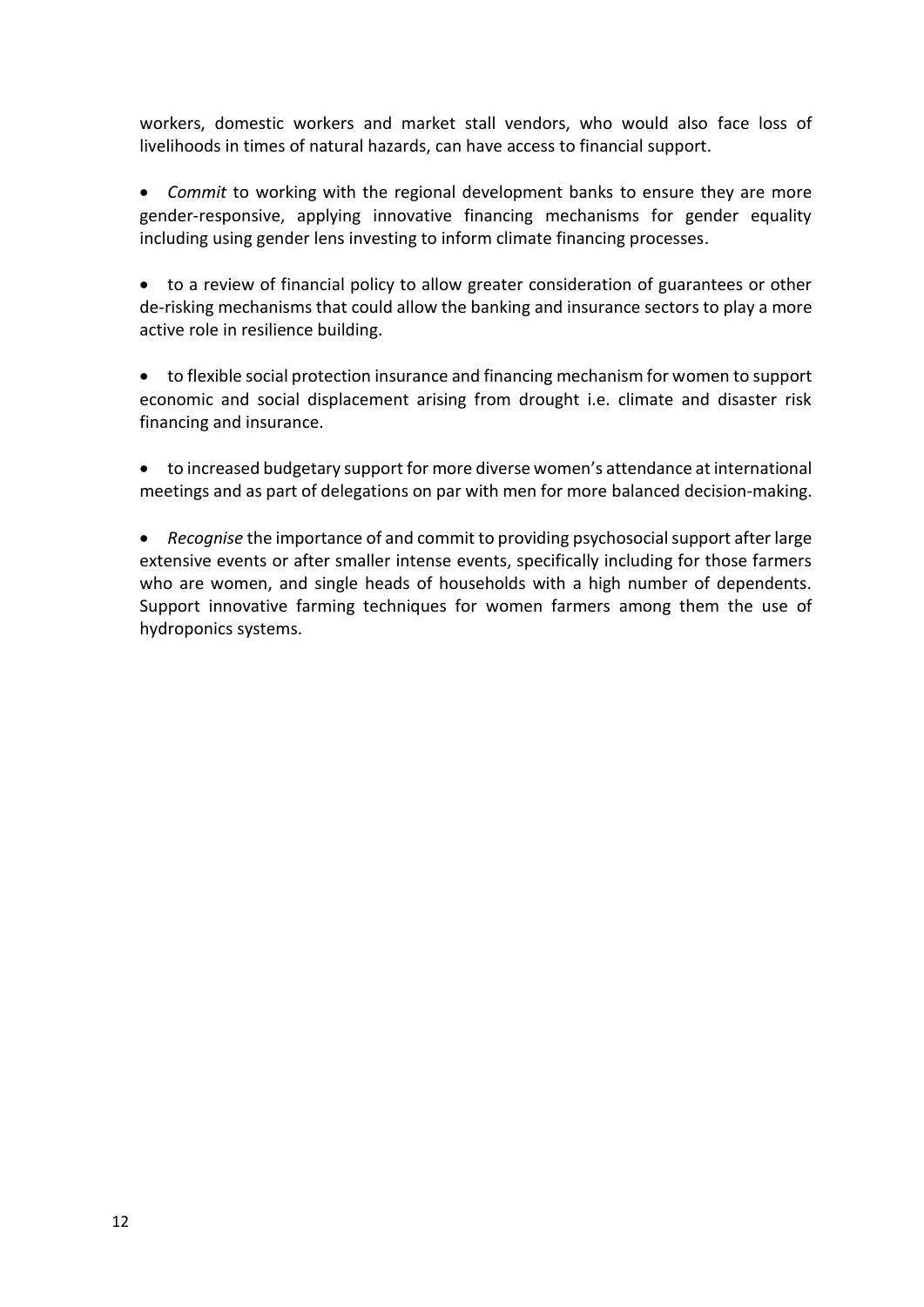workers, domestic workers and market stall vendors, who would also face loss of livelihoods in times of natural hazards, can have access to financial support.

• *Commit* to working with the regional development banks to ensure they are more gender-responsive, applying innovative financing mechanisms for gender equality including using gender lens investing to inform climate financing processes.

• to a review of financial policy to allow greater consideration of guarantees or other de-risking mechanisms that could allow the banking and insurance sectors to play a more active role in resilience building.

• to flexible social protection insurance and financing mechanism for women to support economic and social displacement arising from drought i.e. climate and disaster risk financing and insurance.

• to increased budgetary support for more diverse women's attendance at international meetings and as part of delegations on par with men for more balanced decision-making.

• *Recognise* the importance of and commit to providing psychosocial support after large extensive events or after smaller intense events, specifically including for those farmers who are women, and single heads of households with a high number of dependents. Support innovative farming techniques for women farmers among them the use of hydroponics systems.